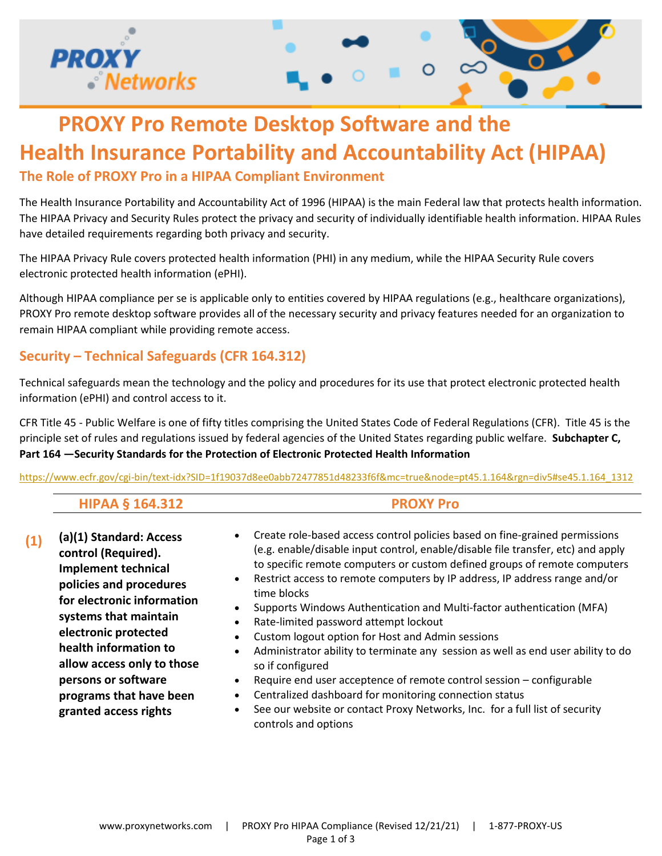

# **PROXY Pro Remote Desktop Software and the Health Insurance Portability and Accountability Act (HIPAA) The Role of PROXY Pro in a HIPAA Compliant Environment**

The Health Insurance Portability and Accountability Act of 1996 (HIPAA) is the main Federal law that protects health information. The HIPAA Privacy and Security Rules protect the privacy and security of individually identifiable health information. HIPAA Rules have detailed requirements regarding both privacy and security.

The HIPAA Privacy Rule covers protected health information (PHI) in any medium, while the HIPAA Security Rule covers electronic protected health information (ePHI).

Although HIPAA compliance per se is applicable only to entities covered by HIPAA regulations (e.g., healthcare organizations), PROXY Pro remote desktop software provides all of the necessary security and privacy features needed for an organization to remain HIPAA compliant while providing remote access.

### **Security – Technical Safeguards (CFR 164.312)**

Technical safeguards mean the technology and the policy and procedures for its use that protect electronic protected health information (ePHI) and control access to it.

CFR Title 45 - Public Welfare is one of fifty titles comprising the United States Code of Federal Regulations (CFR). Title 45 is the principle set of rules and regulations issued by federal agencies of the United States regarding public welfare. **Subchapter C, Part 164 —Security Standards for the Protection of Electronic Protected Health Information**

[https://www.ecfr.gov/cgi-bin/text-idx?SID=1f19037d8ee0abb72477851d48233f6f&mc=true&node=pt45.1.164&rgn=div5#se45.1.164\\_1312](https://www.ecfr.gov/cgi-bin/text-idx?SID=1f19037d8ee0abb72477851d48233f6f&mc=true&node=pt45.1.164&rgn=div5#se45.1.164_1312)

| <b>HIPAA § 164.312</b> |  |
|------------------------|--|
|                        |  |

- **(1) (a)(1) Standard: Access control (Required). Implement technical policies and procedures for electronic information systems that maintain electronic protected health information to allow access only to those persons or software programs that have been granted access rights**
- Create role-based access control policies based on fine-grained permissions (e.g. enable/disable input control, enable/disable file transfer, etc) and apply to specific remote computers or custom defined groups of remote computers
- Restrict access to remote computers by IP address, IP address range and/or time blocks
- Supports Windows Authentication and Multi-factor authentication (MFA)
- Rate-limited password attempt lockout
- Custom logout option for Host and Admin sessions
- Administrator ability to terminate any session as well as end user ability to do so if configured
- Require end user acceptence of remote control session configurable
- Centralized dashboard for monitoring connection status
- See our website or contact Proxy Networks, Inc. for a full list of security controls and options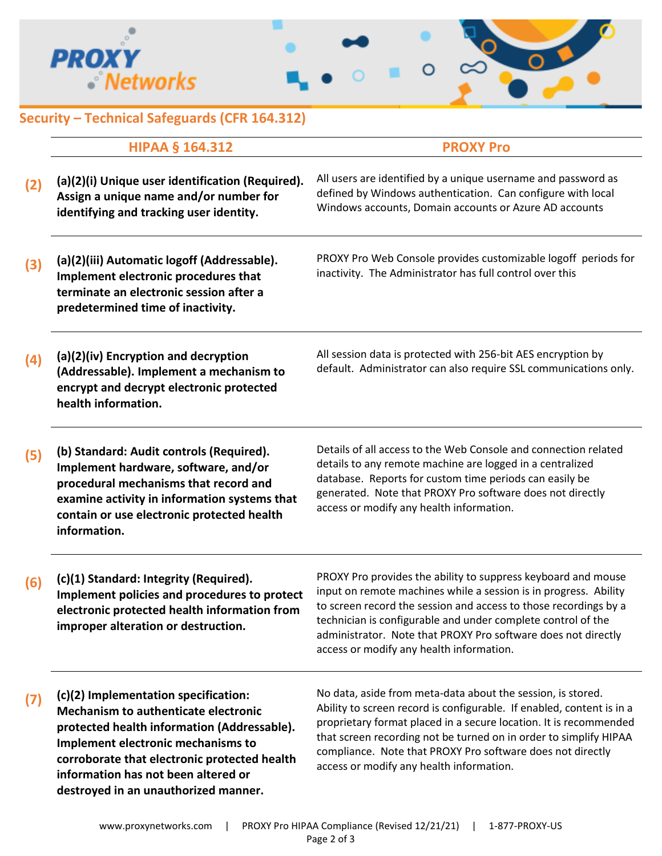



## **Security – Technical Safeguards (CFR 164.312)**

|     | <b>HIPAA § 164.312</b>                                                                                                                                                                                                                                                                           | <b>PROXY Pro</b>                                                                                                                                                                                                                                                                                                                                                                         |
|-----|--------------------------------------------------------------------------------------------------------------------------------------------------------------------------------------------------------------------------------------------------------------------------------------------------|------------------------------------------------------------------------------------------------------------------------------------------------------------------------------------------------------------------------------------------------------------------------------------------------------------------------------------------------------------------------------------------|
| (2) | (a)(2)(i) Unique user identification (Required).<br>Assign a unique name and/or number for<br>identifying and tracking user identity.                                                                                                                                                            | All users are identified by a unique username and password as<br>defined by Windows authentication. Can configure with local<br>Windows accounts, Domain accounts or Azure AD accounts                                                                                                                                                                                                   |
| (3) | (a)(2)(iii) Automatic logoff (Addressable).<br>Implement electronic procedures that<br>terminate an electronic session after a<br>predetermined time of inactivity.                                                                                                                              | PROXY Pro Web Console provides customizable logoff periods for<br>inactivity. The Administrator has full control over this                                                                                                                                                                                                                                                               |
| (4) | (a)(2)(iv) Encryption and decryption<br>(Addressable). Implement a mechanism to<br>encrypt and decrypt electronic protected<br>health information.                                                                                                                                               | All session data is protected with 256-bit AES encryption by<br>default. Administrator can also require SSL communications only.                                                                                                                                                                                                                                                         |
| (5) | (b) Standard: Audit controls (Required).<br>Implement hardware, software, and/or<br>procedural mechanisms that record and<br>examine activity in information systems that<br>contain or use electronic protected health<br>information.                                                          | Details of all access to the Web Console and connection related<br>details to any remote machine are logged in a centralized<br>database. Reports for custom time periods can easily be<br>generated. Note that PROXY Pro software does not directly<br>access or modify any health information.                                                                                         |
| (6) | (c)(1) Standard: Integrity (Required).<br>Implement policies and procedures to protect<br>electronic protected health information from<br>improper alteration or destruction.                                                                                                                    | PROXY Pro provides the ability to suppress keyboard and mouse<br>input on remote machines while a session is in progress. Ability<br>to screen record the session and access to those recordings by a<br>technician is configurable and under complete control of the<br>administrator. Note that PROXY Pro software does not directly<br>access or modify any health information.       |
| (7) | (c)(2) Implementation specification:<br>Mechanism to authenticate electronic<br>protected health information (Addressable).<br>Implement electronic mechanisms to<br>corroborate that electronic protected health<br>information has not been altered or<br>destroyed in an unauthorized manner. | No data, aside from meta-data about the session, is stored.<br>Ability to screen record is configurable. If enabled, content is in a<br>proprietary format placed in a secure location. It is recommended<br>that screen recording not be turned on in order to simplify HIPAA<br>compliance. Note that PROXY Pro software does not directly<br>access or modify any health information. |